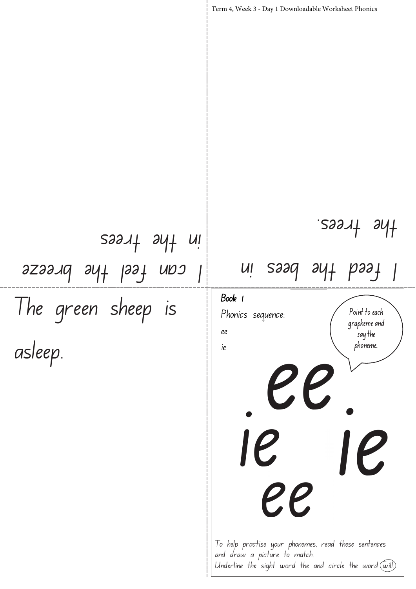The green sheep is asleep. Point to each grapheme and  $\frac{1}{3}$  say the phoneme. Term 4, Week 3 - Day 1 Downloadable Worksheet Phonics Book 1 Phonics sequence: ee ie ee ui saaq ayt paaf the trees. I can feel the breeze in the trees To help practise your phonemes, read these sentences and draw a picture to match. Underline the sight word the and circle the word  $\overline{(\omega\text{i}!)}$ ie ie ee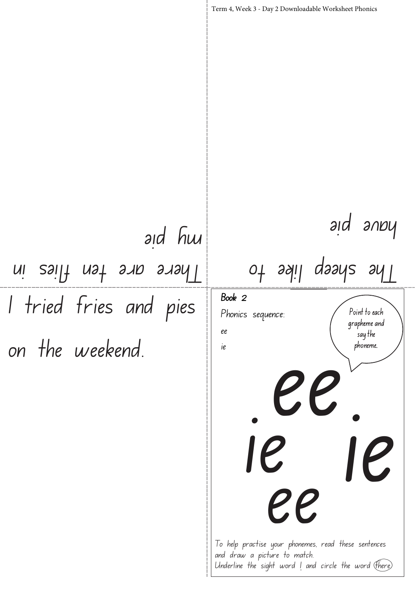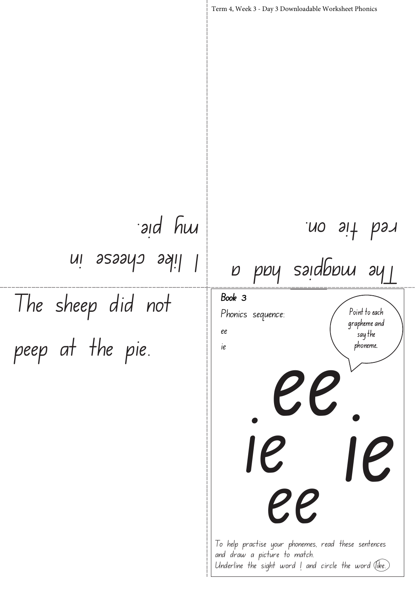The sheep did not peep at the pie. Point to each grapheme and  $\frac{1}{3}$  say the phoneme. Term 4, Week 3 - Day 3 Downloadable Worksheet Phonics Book 3 Phonics sequence: ee ie The magpies had a red tie on. I like cheese in and hu ee ie ie ee

> To help practise your phonemes, read these sentences and draw a picture to match. Underline the sight word  $\mathsf{l}$  and circle the word  $\mathsf{ (like)}$